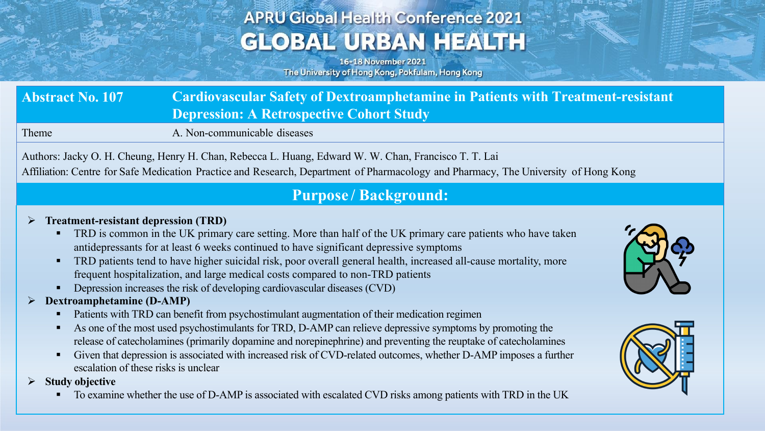# **APRU Global Health Conference 2021 GLOBAL URBAN HEALTH**

16-18 November 2021 The University of Hong Kong, Pokfulam, Hong Kong

| <b>Abstract No. 107</b> | <b>Cardiovascular Safety of Dextroamphetamine in Patients with Treatment-resistant</b> |
|-------------------------|----------------------------------------------------------------------------------------|
|                         | <b>Depression: A Retrospective Cohort Study</b>                                        |

Theme A. Non-communicable diseases

Authors: Jacky O. H. Cheung, Henry H. Chan, Rebecca L. Huang, Edward W. W. Chan, Francisco T. T. Lai Affiliation: Centre for Safe Medication Practice and Research, Department of Pharmacology and Pharmacy, The University of Hong Kong

### **Purpose / Background:**

#### Ø **Treatment-resistant depression (TRD)**

- TRD is common in the UK primary care setting. More than half of the UK primary care patients who have taken antidepressants for at least 6 weeks continued to have significant depressive symptoms
- TRD patients tend to have higher suicidal risk, poor overall general health, increased all-cause mortality, more frequent hospitalization, and large medical costs compared to non-TRD patients
- Depression increases the risk of developing cardiovascular diseases (CVD)

#### Ø **Dextroamphetamine (D-AMP)**

- Patients with TRD can benefit from psychostimulant augmentation of their medication regimen
- As one of the most used psychostimulants for TRD, D-AMP can relieve depressive symptoms by promoting the release of catecholamines (primarily dopamine and norepinephrine) and preventing the reuptake of catecholamines
- Given that depression is associated with increased risk of CVD-related outcomes, whether D-AMP imposes a further escalation of these risks is unclear

**Study objective** 

To examine whether the use of D-AMP is associated with escalated CVD risks among patients with TRD in the UK



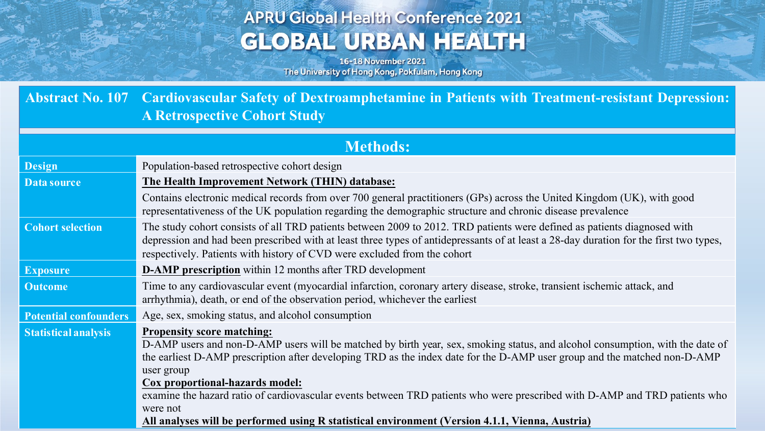## **APRU Global Health Conference 2021 GLOBAL URBAN HEALTH**

16-18 November 2021 The University of Hong Kong, Pokfulam, Hong Kong

**Abstract No. 107 Cardiovascular Safety of Dextroamphetamine in Patients with Treatment-resistant Depression: A Retrospective Cohort Study**

| <b>Methods:</b>              |                                                                                                                                                                                                                                                                                                                                                                                                                                                                                |
|------------------------------|--------------------------------------------------------------------------------------------------------------------------------------------------------------------------------------------------------------------------------------------------------------------------------------------------------------------------------------------------------------------------------------------------------------------------------------------------------------------------------|
| <b>Design</b>                | Population-based retrospective cohort design                                                                                                                                                                                                                                                                                                                                                                                                                                   |
| Data source                  | The Health Improvement Network (THIN) database:                                                                                                                                                                                                                                                                                                                                                                                                                                |
|                              | Contains electronic medical records from over 700 general practitioners (GPs) across the United Kingdom (UK), with good<br>representativeness of the UK population regarding the demographic structure and chronic disease prevalence                                                                                                                                                                                                                                          |
| <b>Cohort selection</b>      | The study cohort consists of all TRD patients between 2009 to 2012. TRD patients were defined as patients diagnosed with<br>depression and had been prescribed with at least three types of antidepressants of at least a 28-day duration for the first two types,<br>respectively. Patients with history of CVD were excluded from the cohort                                                                                                                                 |
| <b>Exposure</b>              | <b>D-AMP prescription</b> within 12 months after TRD development                                                                                                                                                                                                                                                                                                                                                                                                               |
| <b>Outcome</b>               | Time to any cardiovascular event (myocardial infarction, coronary artery disease, stroke, transient ischemic attack, and<br>arrhythmia), death, or end of the observation period, whichever the earliest                                                                                                                                                                                                                                                                       |
| <b>Potential confounders</b> | Age, sex, smoking status, and alcohol consumption                                                                                                                                                                                                                                                                                                                                                                                                                              |
| <b>Statistical analysis</b>  | <b>Propensity score matching:</b><br>D-AMP users and non-D-AMP users will be matched by birth year, sex, smoking status, and alcohol consumption, with the date of<br>the earliest D-AMP prescription after developing TRD as the index date for the D-AMP user group and the matched non-D-AMP<br>user group<br>Cox proportional-hazards model:<br>examine the hazard ratio of cardiovascular events between TRD patients who were prescribed with D-AMP and TRD patients who |
|                              | were not<br>All analyses will be performed using R statistical environment (Version 4.1.1, Vienna, Austria)                                                                                                                                                                                                                                                                                                                                                                    |